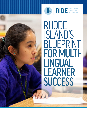



**RIDE** Rhode Island<br> **DE** Department<br>
of Education

# RHODE ISLAND'S BLUEPRINT FOR MULTI-LINGUAL LEARNER SUCCESS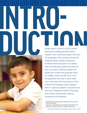Rhode Island is home to 23,931 current<br>
Rhode Island is home to 23,931 current<br>
and former multilingual learner (MLL)<br>
students' who collectively speak more than<br>
100 languages. They comprise 16 percent<br>
of Rhode Island's and former multilingual learner (MLL) students<sup>1</sup> who collectively speak more than 100 languages. They comprise 16 percent of Rhode Island's student population. All Rhode Island educators<sup>2</sup> are tasked with providing high-quality instruction so MLLs succeed in learning English and grade-level content and graduate ready for college, career, and life. MLLs must be supported every day in every classroom with instruction that draws on their cultural and language assets, engages them in rigorous academic instruction and discourse, integrates academic language and content, and provides ongoing assessment and feedback.

**INTRO-**

<sup>1</sup> All data is based on RI public school enrollment from the end of the 2018–2019 school year.

<sup>&</sup>lt;sup>2</sup> "Educators" is used broadly to refer to teachers, administrators, and other school staff who shape MLLs' educational experiences.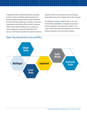To guide the shifts in educational practice necessary for MLLs to thrive, the Rhode Island Department of Education (RIDE) Planning Team recruited individuals from local education agencies, universities, community organizations, and offices at RIDE and the Providence Public School District (PPSD) to form workgroups. These workgroups created the *Blueprint for MLL Success*. The *Blueprint* specifies the systemic practices required for MLLs to succeed and is the underlying policy framework for the *Strategic Plan for MLL Success*.

The *Blueprint* includes a **vision** for MLLs and a set of interrelated **principles** to strengthen educational policies, programs, and practices for all MLLs. The vision captures the expressed aspirations of our MLLs, families, educators, and community members.

#### Figure 1. Key characteristics of successful MLLs

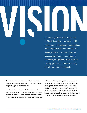All multilingual learners in the state<br>All multilingual learners in the state<br>of Rhode Island are empowered with of Rhode Island are empowered with high-quality instructional opportunities, including multilingual education, that leverage their cultural and linguistic assets, promote college and career readiness, and prepare them to thrive socially, politically, and economically, both in our state and globally.

This vision calls for evidence-based instruction and enrichment opportunities for MLLs, aligned to college preparatory grade-level standards.

Rhode Island's Principles for MLL Success establish what must be in place to realize this vision. The principles are intended to anchor the systemic improvement of policy, regulations, guidance, services, and supports at the state, district, school, and classroom levels. Application of these five dynamic, interrelated, and interdependent principles requires shared responsibility. All educators at all levels of the schooling system must work to develop MLLs' academic and linguistic capacities within environments that respect, value, and sustain their languages and cultures.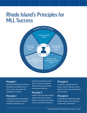### Rhode Island's Principles for MLL Success



#### Principle 1:

An asset-oriented system embraces expectations and approaches to value, respect, and sustain MLL languages and cultures.

#### Principle 2:

A high-quality instructional system (including curriculum, instruction, materials, assessments, and

professional learning) provides access to rigorous standardsaligned learning opportunities and empowers students.

#### Principle 3:

A family- and community-centered system maximizes the assets of families, communities, and schools so MLLs reach their full potential.

#### Principle 4:

A research- and data-informed system holds all educators responsible for continuously strengthening MLL education.

#### Principle 5:

A coherent and nimble system aligns policies, resources, and practices to increase MLL achievement.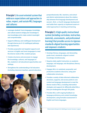Principle 1. **An asset-oriented system that embraces expectations and approaches to value, respect, and sustain MLL languages and cultures:**

- **• Leverages students' home languages, knowledge, and cultural assets to bridge prior knowledge to new knowledge and to make content meaningful and comprehensible;**
- **• Supports biliteracy and multilingual development through diverse pre-K–12 multilingual pathways and experiences;**
- **• Provides purposeful and targeted supports and services in English and home languages to meet the diverse needs of MLL student groups;**
- **• Creates structures and processes to engage the knowledge, cultures, and languages of MLL students in all educational opportunities and settings;**
- **• Strengthens the understanding of all educators (including classroom teachers, special educators,**



**paraprofessionals, MLL teachers, and school and district administrators) about the relationship between first-language development and second-, third-, or fourth-language development and builds their capacity to implement asset-oriented approaches in teaching and learning.**

Principle 2. **A high-quality instructional system (including curriculum, instruction, materials, assessments, and professional learning) that provides access to rigorous standards-aligned learning opportunities and empowers students:**

- **• Develops literacy, languages, and demanding grade-level, standards–aligned content knowledge simultaneously;**
- **• Requires daily explicit instruction on academic language, oral language, and disciplinary literacy development;**
- **• Engages MLLs in sustained, purposeful, and productive academic discourse, using peer collaboration structures;**
- **• Provides a variety of data-informed collaborative structures, supports, and access points to core content and language development to meet the diverse needs of MLLs, including intervention strategies and supports for differently abled MLLs from pre-kindergarten through 12th grade;**
- **• Provides MLLs with ongoing feedback on language proficiency and content knowledge development, using formative assessment in English and home languages.**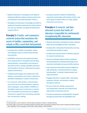- **• Builds all educators' knowledge of and ability to implement effective evidence-based practices for promoting the successful education of MLLs;**
- **• Strengthens all educators' knowledge and skills to implement formative assessment to inform instruction and use, interpret, and apply all assessment results for MLLs.**

#### Principle 3. **A family- and communitycentered system that maximizes the assets of families, communities, and schools so MLLs reach their full potential:**

- **• Leverages MLL families' knowledge, culture, and language assets to build strong learning communities;**
- **• Establishes structures and capacity development opportunities to strengthen partnerships among families, communities, and schools to advocate for MLLs, design equitable education, and strengthen decision-making that increases student achievement;**
- **• Collaboratively designs and implements, with families, communities, and schools, solutions to identified challenges to student achievement;**
- **• Co-constructs, with families, communication tools and resources disseminated in representative languages, using multiple modalities, to strengthen awareness of resources in schools and communities and increase use of aligned resources to support their well-being, participation, and decision-making;**

**• Develops educators skilled at establishing respectful partnerships with families of MLLs and advocating on behalf of MLLs for high-quality instruction and services.**

#### Principle 4. **A research- and datainformed system that holds all educators responsible for continuously strengthening MLL education:**

- **• Requires all teachers and leaders to share responsibility and accountability for MLLs' education;**
- **• Develops MLL instructional frameworks, services, and policies grounded in equity.**
- **• Provides time and structures to develop capacity for research and data use;**
- **• Secures and funds evidence-based, sustained, and purposeful MLL professional learning for all educators and leaders across and within systems;**
- **• Uses classroom observation protocols aligned to high-quality MLL instructional tenets in regular**  learning walks<sup>3</sup> to monitor implementation and **improve practice;**
- **Engages educators in equity audits<sup>4</sup> of practices, programs, policies, and decision-making throughout systems.**
- **• Secures valid and reliable assessments and implements culturally and linguistically appropriate monitoring systems;**
- **• Focuses on educators accelerating MLL progress through processes that use quantitative and**

<sup>3</sup> A learning walk is a short classroom visit that allows educators to reflect on student learning.

<sup>4</sup> An equity audit is a process for examining program and policy data to guarantee all students have access to quality educational opportunities, regardless of race, language, socioeconomic status, ability, or other identities.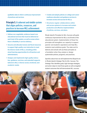**qualitative data to inform continuous improvement of practices and services.**

#### Principle 5. **A coherent and nimble system that aligns policies, resources, and practices to increase MLL achievement:**

- **• Defines non-negotiable, evidence-based core educational services that must be delivered at each level of the system, as well as areas where there is flexibility in service delivery;**
- **• Secures and allocates human and fiscal resources to support high-quality core instruction to meet the diverse needs of MLLs, including professional learning opportunities for all teachers and administrators;**
- **• Designs and implements high-quality instruction, guidance, services, and extended supports tailored to MLLs' diverse social, emotional, and academic needs;**
- **• Creates and adopts policies on college and career readiness education and guidance services to increase access and success for MLLs;**
- **• Structures regular collaborations within and across systems to increase and sustain productive and effective implementation of policies, services, and plans.**

Rhode Island's Principles for MLL Success will guide continuous improvement for MLLs at all levels of the educational system. Implementation of these five principles will strengthen our capacity to support parents' and students' aspirations and help MLL students meet ambitious goals. The state and its districts and schools will use these principles as a foundation when they analyze or design systemwide policies, programs, and practices.

Specifics about how we will implement the *Blueprint* are in Rhode Island's *Strategic Plan for MLL Success*. The Strategic Plan identifies goals, high-leverage strategies, and action steps to meet those goals as well as targeted student outcomes that will demonstrate MLL success.

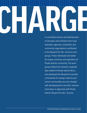# **CHARGE SERVICE A COMMITTED**, diverse, and talented team

A committed, diverse, and talented team of educators and members from local education agencies, universities, and community organizations contributed to the *Blueprint for MLL Success* workgroups. These individuals articulated the hopes, concerns, and aspirations of Rhode Island's community. The workgroups delved into research, analyzed data related to Rhode Island's MLLs, and developed the Blueprint to provide a framework for change. Districts and school communities are now charged with developing their own MLL improvement plans in alignment with Rhode Island's *Blueprint for MLL Success*.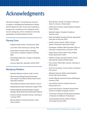## Acknowledgments

We thank the Region 2 Comprehensive Center for its support in facilitating the development of Rhode Island's *Blueprint for MLL Success* and would like to recognize the contributions of our *Blueprint for MLL Success* workgroups, which consisted of community stakeholders and staff at RIDE and PPSD.

#### Planning Team:

- **•** Angélica Infante-Green, Commissioner, RIDE
- **•** Lisa Foehr, Chief, Teaching & Learning, RIDE
- **•** David Sienko, Director, Office of Student, Community, & Academic Supports (OSCAS), RIDE
- **•** Flavia Molea Baker, MLL Program Coordinator, OSCAS, RIDE
- **•** Veronica Salas, MLL Specialist, OSCAS, RIDE

#### Workgroup Members:

- **•** Deborah Adekunle, Student, Youth in Action
- **•** Gloria Amaral, Bilingual Special Education Peer Support Coordinator, Rhode Island Parent Information Network
- **•** Yeimy Bakemon-Morel, Parent Advisory Council
- **•** Soledad Barreto, Director of Newcomer Program, PPSD
- **•** Deborah Belanger, Special Education Program Manager, Rhode Island Parent Information Network
- **•** Cameron Berube, Executive Director, Teaching & Learning, PPSD
- **•** Marcela Betancur, Executive Director, Latino Policy Institute
- **•** Alexa Brunton, Director of Program Continuum, Teach for America—Rhode Island
- **•** Colleen Burns Jermain, Superintendent, Newport Public Schools
- **•** Maribeth Calabro, President, Providence Teachers Union
- **•** Edda Carmadello, Executive Director, Specialized Instruction & Services, PPSD
- **•** Jennifer Carney, Director, Office of School System, Planning & Improvement, RIDE
- **•** Christopher Castillero, Math Specialist, Office of Instruction, Assessment & Curriculum, RIDE
- **•** Paige Clausius-Parks, Senior Policy Analyst, Rhode Island KIDS COUNT
- **•** Kathleen Cloutier, Executive Director, Dorcas International Institute of Rhode Island
- **•** Amy Correia, TESOL/BDL Lecturer, University of Rhode Island
- **•** Doris De Los Santos, Council Liaison, Providence City Council
- **•** Stephanie Downey-Toledo, Superintendent, Central Falls School District
- **•** Jennifer Efflandt, Executive Director, Multilingual Learners, PPSD
- **•** Laura Etkind, Director of Special Services, Achievement First
- **•** Laura Faria-Tancinco, President, Rhode Island Teachers of English Language Learners
- **•** Frank Flynn, President, Rhode Island Federation of Teachers & Healthcare Professionals
- **•** Scott Gausland, Director, Office of Data & Technology Services, RIDE